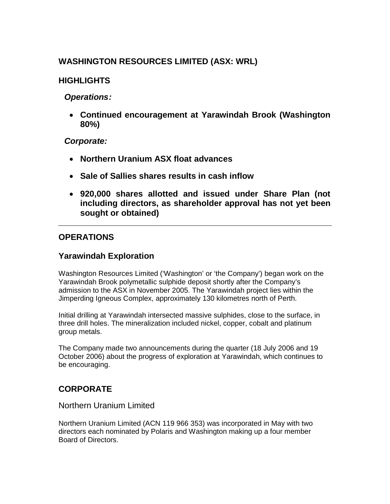# **WASHINGTON RESOURCES LIMITED (ASX: WRL)**

# **HIGHLIGHTS**

# *Operations:*

 **Continued encouragement at Yarawindah Brook (Washington 80%)**

### *Corporate:*

- **Northern Uranium ASX float advances**
- **Sale of Sallies shares results in cash inflow**
- **920,000 shares allotted and issued under Share Plan (not including directors, as shareholder approval has not yet been sought or obtained)**

# **OPERATIONS**

### **Yarawindah Exploration**

Washington Resources Limited ('Washington' or 'the Company') began work on the Yarawindah Brook polymetallic sulphide deposit shortly after the Company's admission to the ASX in November 2005. The Yarawindah project lies within the Jimperding Igneous Complex, approximately 130 kilometres north of Perth.

Initial drilling at Yarawindah intersected massive sulphides, close to the surface, in three drill holes. The mineralization included nickel, copper, cobalt and platinum group metals.

The Company made two announcements during the quarter (18 July 2006 and 19 October 2006) about the progress of exploration at Yarawindah, which continues to be encouraging.

# **CORPORATE**

### Northern Uranium Limited

Northern Uranium Limited (ACN 119 966 353) was incorporated in May with two directors each nominated by Polaris and Washington making up a four member Board of Directors.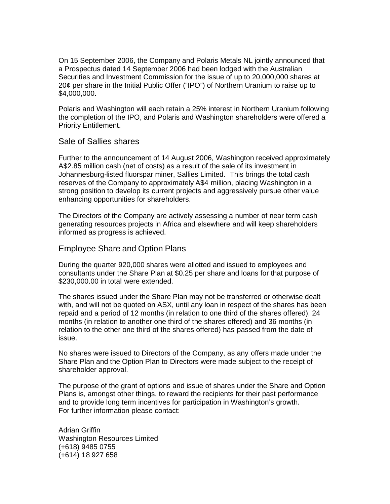On 15 September 2006, the Company and Polaris Metals NL jointly announced that a Prospectus dated 14 September 2006 had been lodged with the Australian Securities and Investment Commission for the issue of up to 20,000,000 shares at 20¢ per share in the Initial Public Offer ("IPO") of Northern Uranium to raise up to \$4,000,000.

Polaris and Washington will each retain a 25% interest in Northern Uranium following the completion of the IPO, and Polaris and Washington shareholders were offered a Priority Entitlement.

### Sale of Sallies shares

Further to the announcement of 14 August 2006, Washington received approximately A\$2.85 million cash (net of costs) as a result of the sale of its investment in Johannesburg-listed fluorspar miner, Sallies Limited. This brings the total cash reserves of the Company to approximately A\$4 million, placing Washington in a strong position to develop its current projects and aggressively pursue other value enhancing opportunities for shareholders.

The Directors of the Company are actively assessing a number of near term cash generating resources projects in Africa and elsewhere and will keep shareholders informed as progress is achieved.

### Employee Share and Option Plans

During the quarter 920,000 shares were allotted and issued to employees and consultants under the Share Plan at \$0.25 per share and loans for that purpose of \$230,000.00 in total were extended.

The shares issued under the Share Plan may not be transferred or otherwise dealt with, and will not be quoted on ASX, until any loan in respect of the shares has been repaid and a period of 12 months (in relation to one third of the shares offered), 24 months (in relation to another one third of the shares offered) and 36 months (in relation to the other one third of the shares offered) has passed from the date of issue.

No shares were issued to Directors of the Company, as any offers made under the Share Plan and the Option Plan to Directors were made subject to the receipt of shareholder approval.

The purpose of the grant of options and issue of shares under the Share and Option Plans is, amongst other things, to reward the recipients for their past performance and to provide long term incentives for participation in Washington's growth. For further information please contact:

Adrian Griffin Washington Resources Limited (+618) 9485 0755 (+614) 18 927 658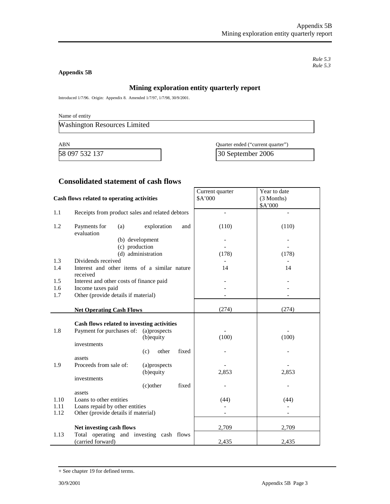*Rule 5.3 Rule 5.3*

#### **Appendix 5B**

#### **Mining exploration entity quarterly report**

Introduced 1/7/96. Origin: Appendix 8. Amended 1/7/97, 1/7/98, 30/9/2001.

Name of entity

Washington Resources Limited

58 097 532 137 30 September 2006

ABN Quarter ended ("current quarter")

#### **Consolidated statement of cash flows**

#### **Cash flows related to operating activities** Current quarter \$A'000 Year to date (3 Months) \$A'000 1.1 Receipts from product sales and related debtors - - 1.2 Payments for (a) exploration and evaluation (b) development (c) production (d) administration (110) - - (178) (110) - - (178) 1.3 Dividends received<br>
1.4 Interest and other items of a similar nature 1.4 1.4 1.4 1.4 1.4 Interest and other items of a similar nature received 14 14 1.5 Interest and other costs of finance paid 1.6 Income taxes paid contract the set of the set of the set of the set of the set of the set of the set of the set of the set of the set of the set of the set of the set of the set of the set of the set of the set of the 1.7 Other (provide details if material) **Net Operating Cash Flows** (274) (274) (274) **Cash flows related to investing activities** 1.8 Payment for purchases of: (a)prospects (b)equity investments (c) other fixed assets - (100) - - (100) - 1.9 Proceeds from sale of: (a)prospects (b)equity investments (c)other fixed assets - 2,853 - - 2,853 - 1.10 Loans to other entities (44) (44) (44) (44) 1.11 Loans repaid by other entities <br>1.12 Other (provide details if material) <br>1.12 Other (provide details if material) Other (provide details if material) **Net investing cash flows** 2,709 2,709 1.13 Total operating and investing cash flows (carried forward) 2,435 2,435

<sup>+</sup> See chapter 19 for defined terms.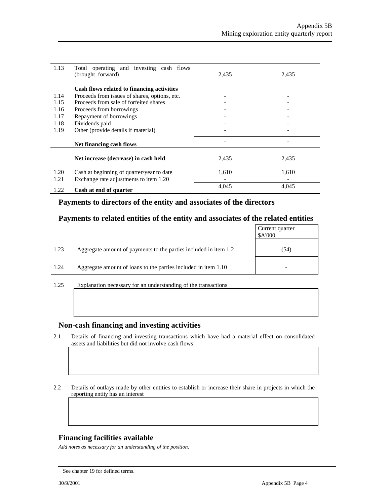| 1.13         | Total operating and investing cash flows<br>(brought forward)                           | 2,435 | 2,435 |
|--------------|-----------------------------------------------------------------------------------------|-------|-------|
|              | Cash flows related to financing activities                                              |       |       |
| 1.14<br>1.15 | Proceeds from issues of shares, options, etc.<br>Proceeds from sale of forfeited shares |       |       |
| 1.16         | Proceeds from borrowings                                                                |       |       |
| 1.17         | Repayment of borrowings                                                                 |       |       |
| 1.18         | Dividends paid                                                                          |       |       |
| 1.19         | Other (provide details if material)                                                     |       |       |
|              | Net financing cash flows                                                                |       |       |
|              | Net increase (decrease) in cash held                                                    | 2,435 | 2,435 |
| 1.20         | Cash at beginning of quarter/year to date                                               | 1,610 | 1,610 |
| 1.21         | Exchange rate adjustments to item 1.20                                                  |       |       |
| 1.22         | Cash at end of quarter                                                                  | 4,045 | 4,045 |

### **Payments to directors of the entity and associates of the directors**

### **Payments to related entities of the entity and associates of the related entities**

|      |                                                                  | Current quarter<br>\$A'000 |
|------|------------------------------------------------------------------|----------------------------|
| 1.23 | Aggregate amount of payments to the parties included in item 1.2 | (54)                       |
| 1.24 | Aggregate amount of loans to the parties included in item 1.10   |                            |
|      |                                                                  |                            |

1.25 Explanation necessary for an understanding of the transactions

#### **Non-cash financing and investing activities**

- 2.1 Details of financing and investing transactions which have had a material effect on consolidated assets and liabilities but did not involve cash flows
- 2.2 Details of outlays made by other entities to establish or increase their share in projects in which the reporting entity has an interest

### **Financing facilities available**

*Add notes as necessary for an understanding of the position.*

<sup>+</sup> See chapter 19 for defined terms.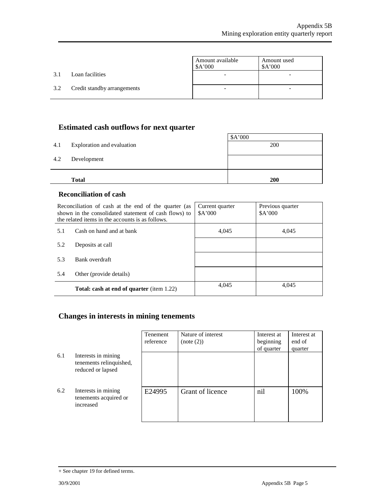|     |                             | Amount available<br>\$A'000 | Amount used<br>A'000 |
|-----|-----------------------------|-----------------------------|----------------------|
| 3.1 | Loan facilities             |                             |                      |
| 3.2 | Credit standby arrangements |                             |                      |

# **Estimated cash outflows for next quarter**

|     | <b>Total</b>               | 200     |
|-----|----------------------------|---------|
| 4.2 | Development                |         |
| 4.1 | Exploration and evaluation | 200     |
|     |                            | \$A'000 |

### **Reconciliation of cash**

|     | Reconciliation of cash at the end of the quarter (as<br>shown in the consolidated statement of cash flows) to<br>the related items in the accounts is as follows. | Current quarter<br>\$A'000 | Previous quarter<br>A'000 |
|-----|-------------------------------------------------------------------------------------------------------------------------------------------------------------------|----------------------------|---------------------------|
| 5.1 | Cash on hand and at bank                                                                                                                                          | 4.045                      | 4,045                     |
| 5.2 | Deposits at call                                                                                                                                                  |                            |                           |
| 5.3 | Bank overdraft                                                                                                                                                    |                            |                           |
| 5.4 | Other (provide details)                                                                                                                                           |                            |                           |
|     | <b>Total: cash at end of quarter</b> (item 1.22)                                                                                                                  | 4,045                      | 4,045                     |

# **Changes in interests in mining tenements**

|     |                                                                     | Tenement<br>reference | Nature of interest<br>(note (2)) | Interest at<br>beginning<br>of quarter | Interest at<br>end of<br>quarter |
|-----|---------------------------------------------------------------------|-----------------------|----------------------------------|----------------------------------------|----------------------------------|
| 6.1 | Interests in mining<br>tenements relinquished,<br>reduced or lapsed |                       |                                  |                                        |                                  |
| 6.2 | Interests in mining<br>tenements acquired or<br>increased           | E24995                | Grant of licence                 | nil                                    | 100%                             |

<sup>+</sup> See chapter 19 for defined terms.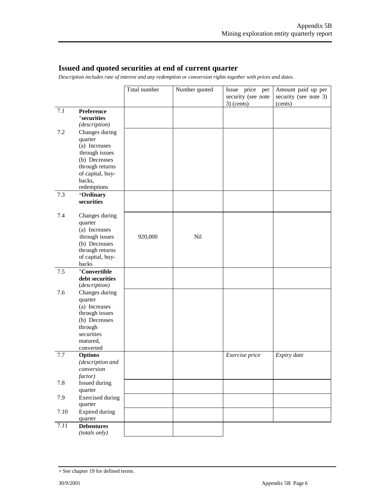### **Issued and quoted securities at end of current quarter**

*Description includes rate of interest and any redemption or conversion rights together with prices and dates.*

|       |                                 | Total number | Number quoted | Issue price<br>per | Amount paid up per    |
|-------|---------------------------------|--------------|---------------|--------------------|-----------------------|
|       |                                 |              |               | security (see note | security (see note 3) |
|       |                                 |              |               | $3)$ (cents)       | (cents)               |
| 7.1   | Preference                      |              |               |                    |                       |
|       | <sup>+</sup> securities         |              |               |                    |                       |
|       | (description)                   |              |               |                    |                       |
| 7.2   | Changes during                  |              |               |                    |                       |
|       | quarter<br>(a) Increases        |              |               |                    |                       |
|       | through issues                  |              |               |                    |                       |
|       | (b) Decreases                   |              |               |                    |                       |
|       | through returns                 |              |               |                    |                       |
|       | of capital, buy-                |              |               |                    |                       |
|       | backs,                          |              |               |                    |                       |
|       | redemptions                     |              |               |                    |                       |
| 7.3   | +Ordinary                       |              |               |                    |                       |
|       | securities                      |              |               |                    |                       |
| 7.4   | Changes during                  |              |               |                    |                       |
|       | quarter                         |              |               |                    |                       |
|       | (a) Increases                   |              |               |                    |                       |
|       | through issues<br>(b) Decreases | 920,000      | Nil           |                    |                       |
|       | through returns                 |              |               |                    |                       |
|       | of capital, buy-                |              |               |                    |                       |
|       | backs                           |              |               |                    |                       |
| $7.5$ | +Convertible                    |              |               |                    |                       |
|       | debt securities                 |              |               |                    |                       |
|       | (description)                   |              |               |                    |                       |
| 7.6   | Changes during                  |              |               |                    |                       |
|       | quarter                         |              |               |                    |                       |
|       | (a) Increases<br>through issues |              |               |                    |                       |
|       | (b) Decreases                   |              |               |                    |                       |
|       | through                         |              |               |                    |                       |
|       | securities                      |              |               |                    |                       |
|       | matured,                        |              |               |                    |                       |
|       | converted                       |              |               |                    |                       |
| 7.7   | <b>Options</b>                  |              |               | Exercise price     | Expiry date           |
|       | (description and                |              |               |                    |                       |
|       | conversion<br>factor)           |              |               |                    |                       |
| 7.8   | Issued during                   |              |               |                    |                       |
|       | quarter                         |              |               |                    |                       |
| 7.9   | <b>Exercised</b> during         |              |               |                    |                       |
|       | quarter                         |              |               |                    |                       |
| 7.10  | Expired during                  |              |               |                    |                       |
| 7.11  | quarter<br><b>Debentures</b>    |              |               |                    |                       |
|       | (totals only)                   |              |               |                    |                       |

<sup>+</sup> See chapter 19 for defined terms.